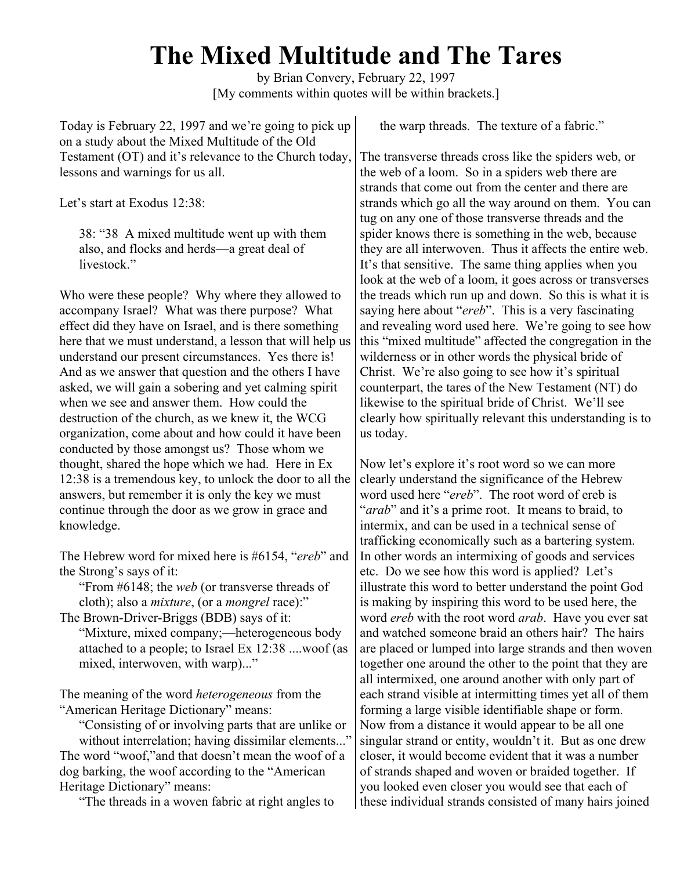## **The Mixed Multitude and The Tares**

by Brian Convery, February 22, 1997 [My comments within quotes will be within brackets.]

Today is February 22, 1997 and we're going to pick up on a study about the Mixed Multitude of the Old Testament (OT) and it's relevance to the Church today, lessons and warnings for us all.

Let's start at Exodus 12:38:

38: "38 A mixed multitude went up with them also, and flocks and herds—a great deal of livestock"

Who were these people? Why where they allowed to accompany Israel? What was there purpose? What effect did they have on Israel, and is there something here that we must understand, a lesson that will help us understand our present circumstances. Yes there is! And as we answer that question and the others I have asked, we will gain a sobering and yet calming spirit when we see and answer them. How could the destruction of the church, as we knew it, the WCG organization, come about and how could it have been conducted by those amongst us? Those whom we thought, shared the hope which we had. Here in Ex 12:38 is a tremendous key, to unlock the door to all the answers, but remember it is only the key we must continue through the door as we grow in grace and knowledge.

The Hebrew word for mixed here is #6154, "*ereb*" and the Strong's says of it:

"From #6148; the *web* (or transverse threads of cloth); also a *mixture*, (or a *mongrel* race):"

The Brown-Driver-Briggs (BDB) says of it: "Mixture, mixed company;—heterogeneous body attached to a people; to Israel Ex 12:38 ....woof (as mixed, interwoven, with warp)..."

The meaning of the word *heterogeneous* from the "American Heritage Dictionary" means:

"Consisting of or involving parts that are unlike or

without interrelation; having dissimilar elements..." The word "woof,"and that doesn't mean the woof of a dog barking, the woof according to the "American Heritage Dictionary" means:

"The threads in a woven fabric at right angles to

the warp threads. The texture of a fabric."

The transverse threads cross like the spiders web, or the web of a loom. So in a spiders web there are strands that come out from the center and there are strands which go all the way around on them. You can tug on any one of those transverse threads and the spider knows there is something in the web, because they are all interwoven. Thus it affects the entire web. It's that sensitive. The same thing applies when you look at the web of a loom, it goes across or transverses the treads which run up and down. So this is what it is saying here about "*ereb*". This is a very fascinating and revealing word used here. We're going to see how this "mixed multitude" affected the congregation in the wilderness or in other words the physical bride of Christ. We're also going to see how it's spiritual counterpart, the tares of the New Testament (NT) do likewise to the spiritual bride of Christ. We'll see clearly how spiritually relevant this understanding is to us today.

Now let's explore it's root word so we can more clearly understand the significance of the Hebrew word used here "*ereb*". The root word of ereb is "*arab*" and it's a prime root. It means to braid, to intermix, and can be used in a technical sense of trafficking economically such as a bartering system. In other words an intermixing of goods and services etc. Do we see how this word is applied? Let's illustrate this word to better understand the point God is making by inspiring this word to be used here, the word *ereb* with the root word *arab*. Have you ever sat and watched someone braid an others hair? The hairs are placed or lumped into large strands and then woven together one around the other to the point that they are all intermixed, one around another with only part of each strand visible at intermitting times yet all of them forming a large visible identifiable shape or form. Now from a distance it would appear to be all one singular strand or entity, wouldn't it. But as one drew closer, it would become evident that it was a number of strands shaped and woven or braided together. If you looked even closer you would see that each of these individual strands consisted of many hairs joined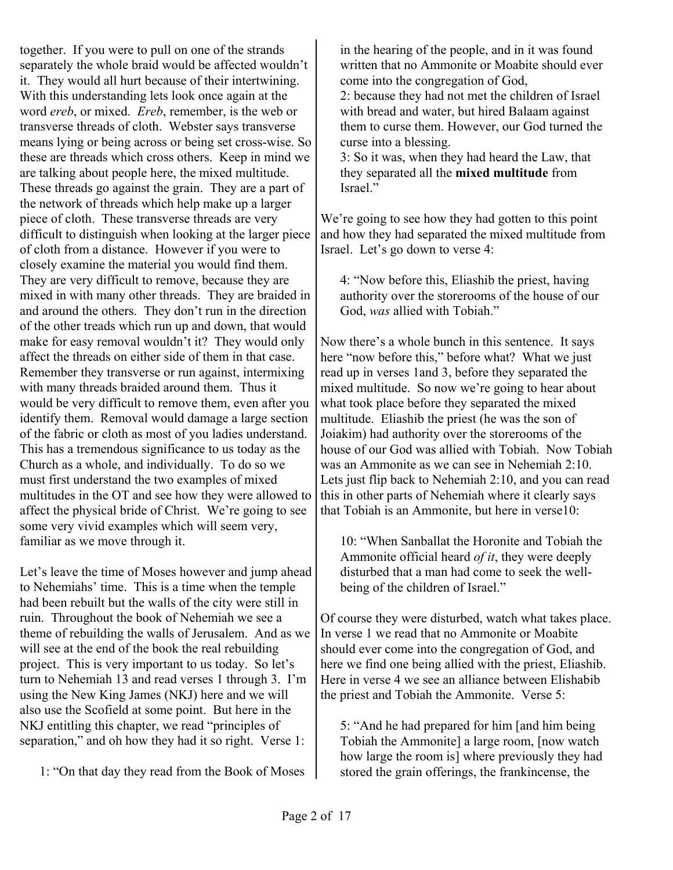together. If you were to pull on one of the strands separately the whole braid would be affected wouldn't it. They would all hurt because of their intertwining. With this understanding lets look once again at the word *ereb*, or mixed. *Ereb*, remember, is the web or transverse threads of cloth. Webster says transverse means lying or being across or being set cross-wise. So these are threads which cross others. Keep in mind we are talking about people here, the mixed multitude. These threads go against the grain. They are a part of the network of threads which help make up a larger piece of cloth. These transverse threads are very difficult to distinguish when looking at the larger piece of cloth from a distance. However if you were to closely examine the material you would find them. They are very difficult to remove, because they are mixed in with many other threads. They are braided in and around the others. They don't run in the direction of the other treads which run up and down, that would make for easy removal wouldn't it? They would only affect the threads on either side of them in that case. Remember they transverse or run against, intermixing with many threads braided around them. Thus it would be very difficult to remove them, even after you identify them. Removal would damage a large section of the fabric or cloth as most of you ladies understand. This has a tremendous significance to us today as the Church as a whole, and individually. To do so we must first understand the two examples of mixed multitudes in the OT and see how they were allowed to affect the physical bride of Christ. We're going to see some very vivid examples which will seem very, familiar as we move through it.

Let's leave the time of Moses however and jump ahead to Nehemiahs' time. This is a time when the temple had been rebuilt but the walls of the city were still in ruin. Throughout the book of Nehemiah we see a theme of rebuilding the walls of Jerusalem. And as we will see at the end of the book the real rebuilding project. This is very important to us today. So let's turn to Nehemiah 13 and read verses 1 through 3. I'm using the New King James (NKJ) here and we will also use the Scofield at some point. But here in the NKJ entitling this chapter, we read "principles of separation," and oh how they had it so right. Verse 1:

1: "On that day they read from the Book of Moses

in the hearing of the people, and in it was found written that no Ammonite or Moabite should ever come into the congregation of God,

2: because they had not met the children of Israel with bread and water, but hired Balaam against them to curse them. However, our God turned the curse into a blessing.

3: So it was, when they had heard the Law, that they separated all the **mixed multitude** from Israel."

We're going to see how they had gotten to this point and how they had separated the mixed multitude from Israel. Let's go down to verse 4:

4: "Now before this, Eliashib the priest, having authority over the storerooms of the house of our God, *was* allied with Tobiah."

Now there's a whole bunch in this sentence. It says here "now before this," before what? What we just read up in verses 1and 3, before they separated the mixed multitude. So now we're going to hear about what took place before they separated the mixed multitude. Eliashib the priest (he was the son of Joiakim) had authority over the storerooms of the house of our God was allied with Tobiah. Now Tobiah was an Ammonite as we can see in Nehemiah 2:10. Lets just flip back to Nehemiah 2:10, and you can read this in other parts of Nehemiah where it clearly says that Tobiah is an Ammonite, but here in verse10:

10: "When Sanballat the Horonite and Tobiah the Ammonite official heard *of it*, they were deeply disturbed that a man had come to seek the wellbeing of the children of Israel."

Of course they were disturbed, watch what takes place. In verse 1 we read that no Ammonite or Moabite should ever come into the congregation of God, and here we find one being allied with the priest, Eliashib. Here in verse 4 we see an alliance between Elishabib the priest and Tobiah the Ammonite. Verse 5:

5: "And he had prepared for him [and him being Tobiah the Ammonite] a large room, [now watch how large the room is] where previously they had stored the grain offerings, the frankincense, the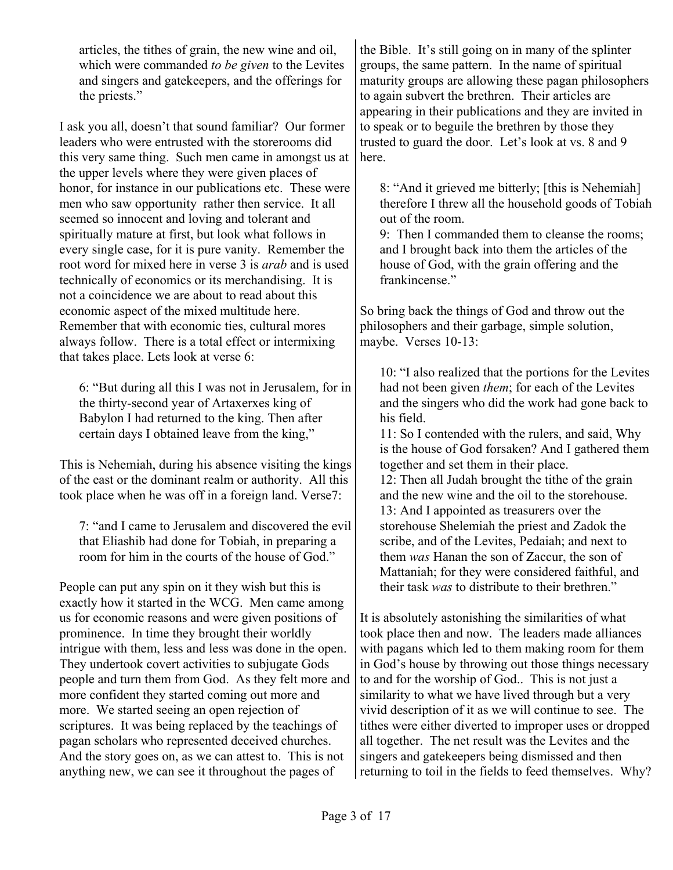articles, the tithes of grain, the new wine and oil, which were commanded *to be given* to the Levites and singers and gatekeepers, and the offerings for the priests."

I ask you all, doesn't that sound familiar? Our former leaders who were entrusted with the storerooms did this very same thing. Such men came in amongst us at the upper levels where they were given places of honor, for instance in our publications etc. These were men who saw opportunity rather then service. It all seemed so innocent and loving and tolerant and spiritually mature at first, but look what follows in every single case, for it is pure vanity. Remember the root word for mixed here in verse 3 is *arab* and is used technically of economics or its merchandising. It is not a coincidence we are about to read about this economic aspect of the mixed multitude here. Remember that with economic ties, cultural mores always follow. There is a total effect or intermixing that takes place. Lets look at verse 6:

6: "But during all this I was not in Jerusalem, for in the thirty-second year of Artaxerxes king of Babylon I had returned to the king. Then after certain days I obtained leave from the king,"

This is Nehemiah, during his absence visiting the kings of the east or the dominant realm or authority. All this took place when he was off in a foreign land. Verse7:

7: "and I came to Jerusalem and discovered the evil that Eliashib had done for Tobiah, in preparing a room for him in the courts of the house of God."

People can put any spin on it they wish but this is exactly how it started in the WCG. Men came among us for economic reasons and were given positions of prominence. In time they brought their worldly intrigue with them, less and less was done in the open. They undertook covert activities to subjugate Gods people and turn them from God. As they felt more and more confident they started coming out more and more. We started seeing an open rejection of scriptures. It was being replaced by the teachings of pagan scholars who represented deceived churches. And the story goes on, as we can attest to. This is not anything new, we can see it throughout the pages of

the Bible. It's still going on in many of the splinter groups, the same pattern. In the name of spiritual maturity groups are allowing these pagan philosophers to again subvert the brethren. Their articles are appearing in their publications and they are invited in to speak or to beguile the brethren by those they trusted to guard the door. Let's look at vs. 8 and 9 here.

8: "And it grieved me bitterly; [this is Nehemiah] therefore I threw all the household goods of Tobiah out of the room.

9: Then I commanded them to cleanse the rooms; and I brought back into them the articles of the house of God, with the grain offering and the frankincense."

So bring back the things of God and throw out the philosophers and their garbage, simple solution, maybe. Verses 10-13:

10: "I also realized that the portions for the Levites had not been given *them*; for each of the Levites and the singers who did the work had gone back to his field.

11: So I contended with the rulers, and said, Why is the house of God forsaken? And I gathered them together and set them in their place.

12: Then all Judah brought the tithe of the grain and the new wine and the oil to the storehouse. 13: And I appointed as treasurers over the storehouse Shelemiah the priest and Zadok the scribe, and of the Levites, Pedaiah; and next to them *was* Hanan the son of Zaccur, the son of Mattaniah; for they were considered faithful, and their task *was* to distribute to their brethren."

It is absolutely astonishing the similarities of what took place then and now. The leaders made alliances with pagans which led to them making room for them in God's house by throwing out those things necessary to and for the worship of God.. This is not just a similarity to what we have lived through but a very vivid description of it as we will continue to see. The tithes were either diverted to improper uses or dropped all together. The net result was the Levites and the singers and gatekeepers being dismissed and then returning to toil in the fields to feed themselves. Why?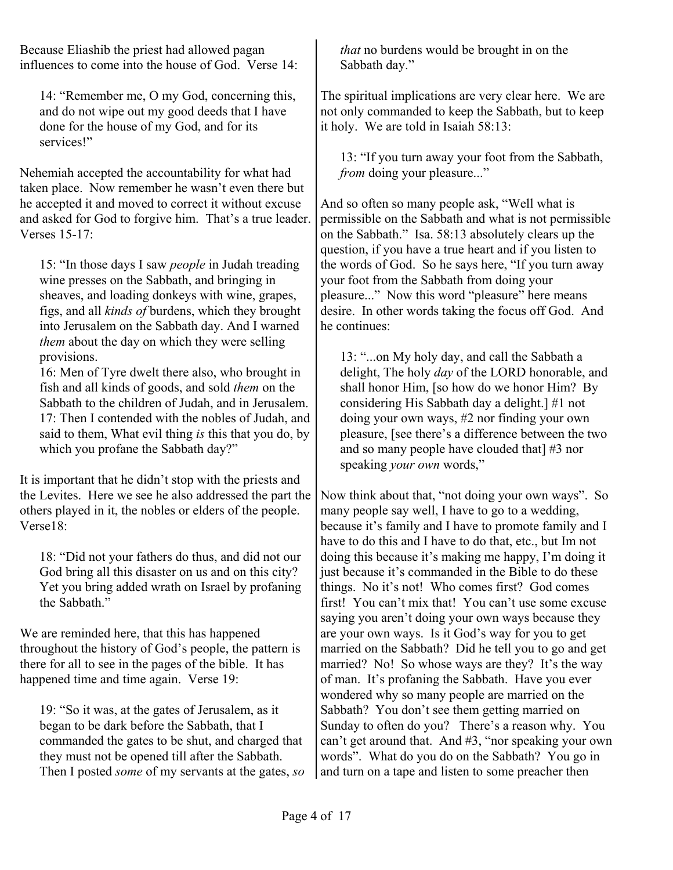Because Eliashib the priest had allowed pagan influences to come into the house of God. Verse 14:

14: "Remember me, O my God, concerning this, and do not wipe out my good deeds that I have done for the house of my God, and for its services!"

Nehemiah accepted the accountability for what had taken place. Now remember he wasn't even there but he accepted it and moved to correct it without excuse and asked for God to forgive him. That's a true leader. Verses 15-17:

15: "In those days I saw *people* in Judah treading wine presses on the Sabbath, and bringing in sheaves, and loading donkeys with wine, grapes, figs, and all *kinds of* burdens, which they brought into Jerusalem on the Sabbath day. And I warned *them* about the day on which they were selling provisions.

16: Men of Tyre dwelt there also, who brought in fish and all kinds of goods, and sold *them* on the Sabbath to the children of Judah, and in Jerusalem. 17: Then I contended with the nobles of Judah, and said to them, What evil thing *is* this that you do, by which you profane the Sabbath day?"

It is important that he didn't stop with the priests and the Levites. Here we see he also addressed the part the others played in it, the nobles or elders of the people. Verse18:

18: "Did not your fathers do thus, and did not our God bring all this disaster on us and on this city? Yet you bring added wrath on Israel by profaning the Sabbath."

We are reminded here, that this has happened throughout the history of God's people, the pattern is there for all to see in the pages of the bible. It has happened time and time again. Verse 19:

19: "So it was, at the gates of Jerusalem, as it began to be dark before the Sabbath, that I commanded the gates to be shut, and charged that they must not be opened till after the Sabbath. Then I posted *some* of my servants at the gates, *so* *that* no burdens would be brought in on the Sabbath day."

The spiritual implications are very clear here. We are not only commanded to keep the Sabbath, but to keep it holy. We are told in Isaiah 58:13:

13: "If you turn away your foot from the Sabbath, *from* doing your pleasure..."

And so often so many people ask, "Well what is permissible on the Sabbath and what is not permissible on the Sabbath." Isa. 58:13 absolutely clears up the question, if you have a true heart and if you listen to the words of God. So he says here, "If you turn away your foot from the Sabbath from doing your pleasure..." Now this word "pleasure" here means desire. In other words taking the focus off God. And he continues:

13: "...on My holy day, and call the Sabbath a delight, The holy *day* of the LORD honorable, and shall honor Him, [so how do we honor Him? By considering His Sabbath day a delight.] #1 not doing your own ways, #2 nor finding your own pleasure, [see there's a difference between the two and so many people have clouded that] #3 nor speaking *your own* words,"

Now think about that, "not doing your own ways". So many people say well, I have to go to a wedding, because it's family and I have to promote family and I have to do this and I have to do that, etc., but Im not doing this because it's making me happy, I'm doing it just because it's commanded in the Bible to do these things. No it's not! Who comes first? God comes first! You can't mix that! You can't use some excuse saying you aren't doing your own ways because they are your own ways. Is it God's way for you to get married on the Sabbath? Did he tell you to go and get married? No! So whose ways are they? It's the way of man. It's profaning the Sabbath. Have you ever wondered why so many people are married on the Sabbath? You don't see them getting married on Sunday to often do you? There's a reason why. You can't get around that. And #3, "nor speaking your own words". What do you do on the Sabbath? You go in and turn on a tape and listen to some preacher then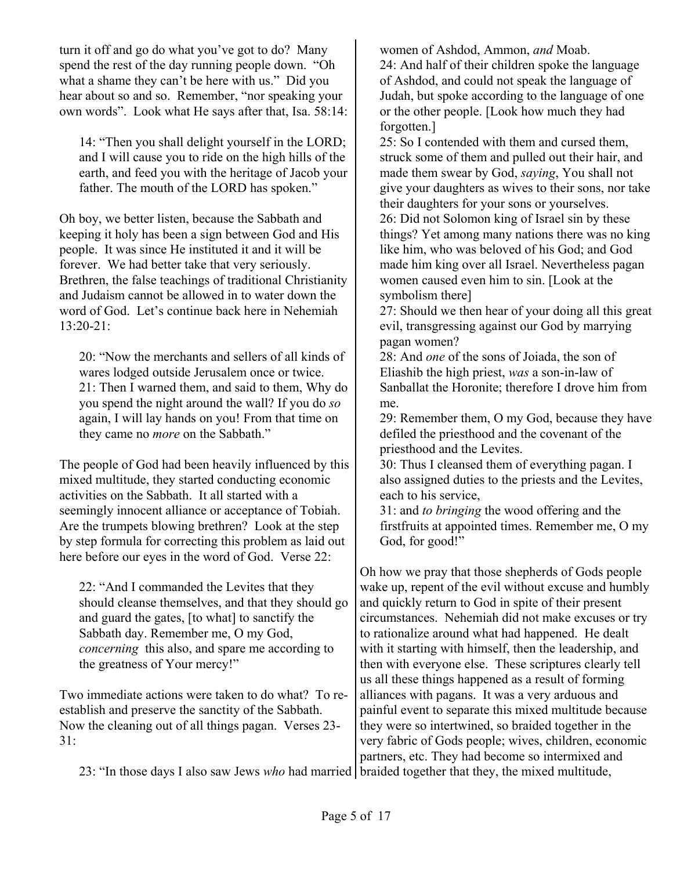turn it off and go do what you've got to do? Many spend the rest of the day running people down. "Oh what a shame they can't be here with us." Did you hear about so and so. Remember, "nor speaking your own words". Look what He says after that, Isa. 58:14:

14: "Then you shall delight yourself in the LORD; and I will cause you to ride on the high hills of the earth, and feed you with the heritage of Jacob your father. The mouth of the LORD has spoken."

Oh boy, we better listen, because the Sabbath and keeping it holy has been a sign between God and His people. It was since He instituted it and it will be forever. We had better take that very seriously. Brethren, the false teachings of traditional Christianity and Judaism cannot be allowed in to water down the word of God. Let's continue back here in Nehemiah 13:20-21:

20: "Now the merchants and sellers of all kinds of wares lodged outside Jerusalem once or twice. 21: Then I warned them, and said to them, Why do you spend the night around the wall? If you do *so* again, I will lay hands on you! From that time on they came no *more* on the Sabbath."

The people of God had been heavily influenced by this mixed multitude, they started conducting economic activities on the Sabbath. It all started with a seemingly innocent alliance or acceptance of Tobiah. Are the trumpets blowing brethren? Look at the step by step formula for correcting this problem as laid out here before our eyes in the word of God. Verse 22:

22: "And I commanded the Levites that they should cleanse themselves, and that they should go and guard the gates, [to what] to sanctify the Sabbath day. Remember me, O my God, *concerning* this also, and spare me according to the greatness of Your mercy!"

Two immediate actions were taken to do what? To reestablish and preserve the sanctity of the Sabbath. Now the cleaning out of all things pagan. Verses 23- 31:

23: "In those days I also saw Jews *who* had married braided together that they, the mixed multitude,

women of Ashdod, Ammon, *and* Moab. 24: And half of their children spoke the language of Ashdod, and could not speak the language of Judah, but spoke according to the language of one or the other people. [Look how much they had forgotten.]

25: So I contended with them and cursed them, struck some of them and pulled out their hair, and made them swear by God, *saying*, You shall not give your daughters as wives to their sons, nor take their daughters for your sons or yourselves. 26: Did not Solomon king of Israel sin by these

things? Yet among many nations there was no king like him, who was beloved of his God; and God made him king over all Israel. Nevertheless pagan women caused even him to sin. [Look at the symbolism there]

27: Should we then hear of your doing all this great evil, transgressing against our God by marrying pagan women?

28: And *one* of the sons of Joiada, the son of Eliashib the high priest, *was* a son-in-law of Sanballat the Horonite; therefore I drove him from me.

29: Remember them, O my God, because they have defiled the priesthood and the covenant of the priesthood and the Levites.

30: Thus I cleansed them of everything pagan. I also assigned duties to the priests and the Levites, each to his service,

31: and *to bringing* the wood offering and the firstfruits at appointed times. Remember me, O my God, for good!"

Oh how we pray that those shepherds of Gods people wake up, repent of the evil without excuse and humbly and quickly return to God in spite of their present circumstances. Nehemiah did not make excuses or try to rationalize around what had happened. He dealt with it starting with himself, then the leadership, and then with everyone else. These scriptures clearly tell us all these things happened as a result of forming alliances with pagans. It was a very arduous and painful event to separate this mixed multitude because they were so intertwined, so braided together in the very fabric of Gods people; wives, children, economic partners, etc. They had become so intermixed and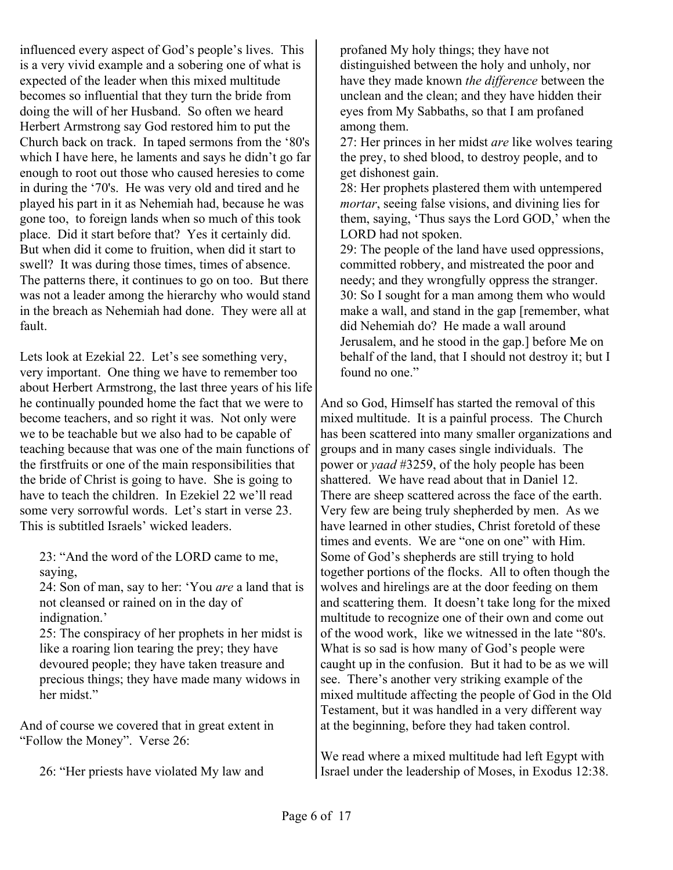influenced every aspect of God's people's lives. This is a very vivid example and a sobering one of what is expected of the leader when this mixed multitude becomes so influential that they turn the bride from doing the will of her Husband. So often we heard Herbert Armstrong say God restored him to put the Church back on track. In taped sermons from the '80's which I have here, he laments and says he didn't go far enough to root out those who caused heresies to come in during the '70's. He was very old and tired and he played his part in it as Nehemiah had, because he was gone too, to foreign lands when so much of this took place. Did it start before that? Yes it certainly did. But when did it come to fruition, when did it start to swell? It was during those times, times of absence. The patterns there, it continues to go on too. But there was not a leader among the hierarchy who would stand in the breach as Nehemiah had done. They were all at fault.

Lets look at Ezekial 22. Let's see something very, very important. One thing we have to remember too about Herbert Armstrong, the last three years of his life he continually pounded home the fact that we were to become teachers, and so right it was. Not only were we to be teachable but we also had to be capable of teaching because that was one of the main functions of the firstfruits or one of the main responsibilities that the bride of Christ is going to have. She is going to have to teach the children. In Ezekiel 22 we'll read some very sorrowful words. Let's start in verse 23. This is subtitled Israels' wicked leaders.

23: "And the word of the LORD came to me, saying,

24: Son of man, say to her: 'You *are* a land that is not cleansed or rained on in the day of indignation.'

25: The conspiracy of her prophets in her midst is like a roaring lion tearing the prey; they have devoured people; they have taken treasure and precious things; they have made many widows in her midst."

And of course we covered that in great extent in "Follow the Money". Verse 26:

26: "Her priests have violated My law and

profaned My holy things; they have not distinguished between the holy and unholy, nor have they made known *the difference* between the unclean and the clean; and they have hidden their eyes from My Sabbaths, so that I am profaned among them.

27: Her princes in her midst *are* like wolves tearing the prey, to shed blood, to destroy people, and to get dishonest gain.

28: Her prophets plastered them with untempered *mortar*, seeing false visions, and divining lies for them, saying, 'Thus says the Lord GOD,' when the LORD had not spoken.

29: The people of the land have used oppressions, committed robbery, and mistreated the poor and needy; and they wrongfully oppress the stranger. 30: So I sought for a man among them who would make a wall, and stand in the gap [remember, what did Nehemiah do? He made a wall around Jerusalem, and he stood in the gap.] before Me on behalf of the land, that I should not destroy it; but I found no one."

And so God, Himself has started the removal of this mixed multitude. It is a painful process. The Church has been scattered into many smaller organizations and groups and in many cases single individuals. The power or *yaad* #3259, of the holy people has been shattered. We have read about that in Daniel 12. There are sheep scattered across the face of the earth. Very few are being truly shepherded by men. As we have learned in other studies, Christ foretold of these times and events. We are "one on one" with Him. Some of God's shepherds are still trying to hold together portions of the flocks. All to often though the wolves and hirelings are at the door feeding on them and scattering them. It doesn't take long for the mixed multitude to recognize one of their own and come out of the wood work, like we witnessed in the late "80's. What is so sad is how many of God's people were caught up in the confusion. But it had to be as we will see. There's another very striking example of the mixed multitude affecting the people of God in the Old Testament, but it was handled in a very different way at the beginning, before they had taken control.

We read where a mixed multitude had left Egypt with Israel under the leadership of Moses, in Exodus 12:38.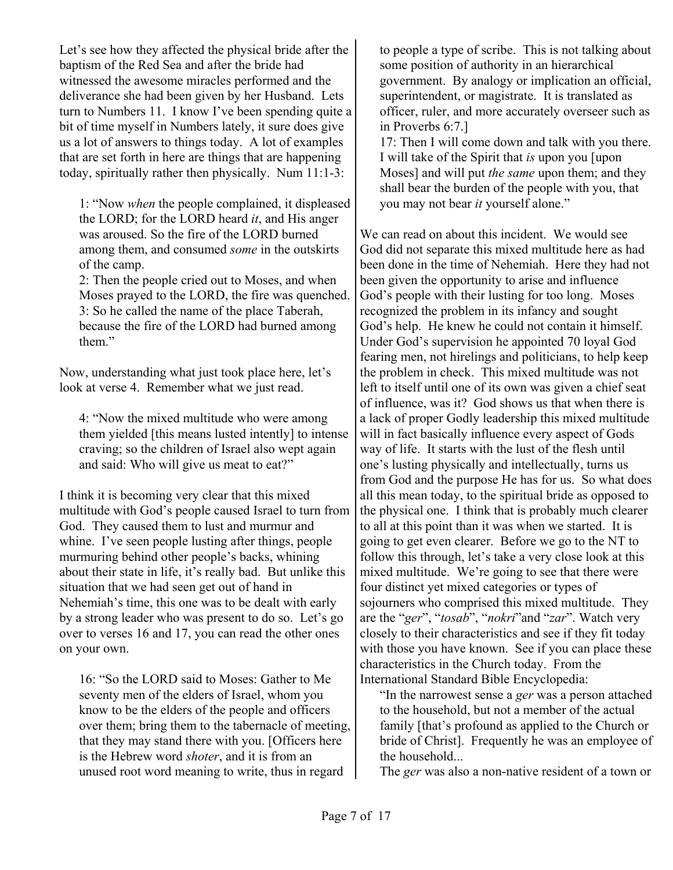Let's see how they affected the physical bride after the baptism of the Red Sea and after the bride had witnessed the awesome miracles performed and the deliverance she had been given by her Husband. Lets turn to Numbers 11. I know I've been spending quite a bit of time myself in Numbers lately, it sure does give us a lot of answers to things today. A lot of examples that are set forth in here are things that are happening today, spiritually rather then physically. Num 11:1-3:

1: "Now *when* the people complained, it displeased the LORD; for the LORD heard *it*, and His anger was aroused. So the fire of the LORD burned among them, and consumed *some* in the outskirts of the camp.

2: Then the people cried out to Moses, and when Moses prayed to the LORD, the fire was quenched. 3: So he called the name of the place Taberah, because the fire of the LORD had burned among them."

Now, understanding what just took place here, let's look at verse 4. Remember what we just read.

4: "Now the mixed multitude who were among them yielded [this means lusted intently] to intense craving; so the children of Israel also wept again and said: Who will give us meat to eat?"

I think it is becoming very clear that this mixed multitude with God's people caused Israel to turn from God. They caused them to lust and murmur and whine. I've seen people lusting after things, people murmuring behind other people's backs, whining about their state in life, it's really bad. But unlike this situation that we had seen get out of hand in Nehemiah's time, this one was to be dealt with early by a strong leader who was present to do so. Let's go over to verses 16 and 17, you can read the other ones on your own.

16: "So the LORD said to Moses: Gather to Me seventy men of the elders of Israel, whom you know to be the elders of the people and officers over them; bring them to the tabernacle of meeting, that they may stand there with you. [Officers here is the Hebrew word *shoter*, and it is from an unused root word meaning to write, thus in regard

to people a type of scribe. This is not talking about some position of authority in an hierarchical government. By analogy or implication an official, superintendent, or magistrate. It is translated as officer, ruler, and more accurately overseer such as in Proverbs 6:7.]

17: Then I will come down and talk with you there. I will take of the Spirit that *is* upon you [upon Moses] and will put *the same* upon them; and they shall bear the burden of the people with you, that you may not bear *it* yourself alone."

We can read on about this incident. We would see God did not separate this mixed multitude here as had been done in the time of Nehemiah. Here they had not been given the opportunity to arise and influence God's people with their lusting for too long. Moses recognized the problem in its infancy and sought God's help. He knew he could not contain it himself. Under God's supervision he appointed 70 loyal God fearing men, not hirelings and politicians, to help keep the problem in check. This mixed multitude was not left to itself until one of its own was given a chief seat of influence, was it? God shows us that when there is a lack of proper Godly leadership this mixed multitude will in fact basically influence every aspect of Gods way of life. It starts with the lust of the flesh until one's lusting physically and intellectually, turns us from God and the purpose He has for us. So what does all this mean today, to the spiritual bride as opposed to the physical one. I think that is probably much clearer to all at this point than it was when we started. It is going to get even clearer. Before we go to the NT to follow this through, let's take a very close look at this mixed multitude. We're going to see that there were four distinct yet mixed categories or types of sojourners who comprised this mixed multitude. They are the "*ger*", "*tosab*", "*nokri*"and "*zar*". Watch very closely to their characteristics and see if they fit today with those you have known. See if you can place these characteristics in the Church today. From the International Standard Bible Encyclopedia:

"In the narrowest sense a *ger* was a person attached to the household, but not a member of the actual family [that's profound as applied to the Church or bride of Christ]. Frequently he was an employee of the household...

The *ger* was also a non-native resident of a town or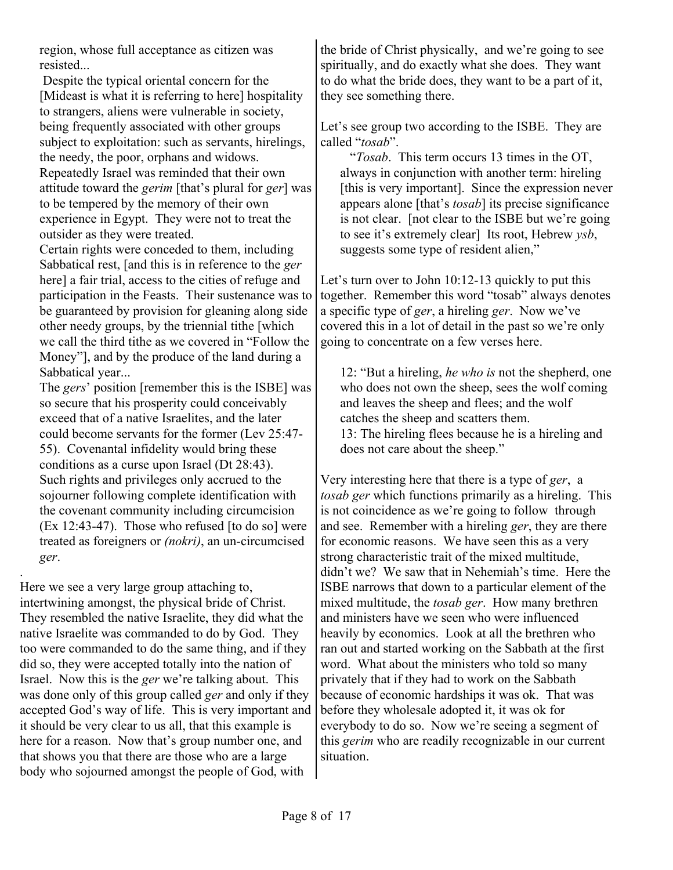region, whose full acceptance as citizen was resisted...

 Despite the typical oriental concern for the [Mideast is what it is referring to here] hospitality to strangers, aliens were vulnerable in society, being frequently associated with other groups subject to exploitation: such as servants, hirelings, the needy, the poor, orphans and widows. Repeatedly Israel was reminded that their own attitude toward the *gerim* [that's plural for *ger*] was to be tempered by the memory of their own experience in Egypt. They were not to treat the outsider as they were treated.

Certain rights were conceded to them, including Sabbatical rest, [and this is in reference to the *ger* here] a fair trial, access to the cities of refuge and participation in the Feasts. Their sustenance was to be guaranteed by provision for gleaning along side other needy groups, by the triennial tithe [which we call the third tithe as we covered in "Follow the Money"], and by the produce of the land during a Sabbatical year...

The *gers*' position [remember this is the ISBE] was so secure that his prosperity could conceivably exceed that of a native Israelites, and the later could become servants for the former (Lev 25:47- 55). Covenantal infidelity would bring these conditions as a curse upon Israel (Dt 28:43). Such rights and privileges only accrued to the sojourner following complete identification with the covenant community including circumcision (Ex 12:43-47). Those who refused [to do so] were treated as foreigners or *(nokri)*, an un-circumcised *ger*.

Here we see a very large group attaching to, intertwining amongst, the physical bride of Christ. They resembled the native Israelite, they did what the native Israelite was commanded to do by God. They too were commanded to do the same thing, and if they did so, they were accepted totally into the nation of Israel. Now this is the *ger* we're talking about. This was done only of this group called *ger* and only if they accepted God's way of life. This is very important and it should be very clear to us all, that this example is here for a reason. Now that's group number one, and that shows you that there are those who are a large body who sojourned amongst the people of God, with

.

the bride of Christ physically, and we're going to see spiritually, and do exactly what she does. They want to do what the bride does, they want to be a part of it, they see something there.

Let's see group two according to the ISBE. They are called "*tosab*".

 "*Tosab*. This term occurs 13 times in the OT, always in conjunction with another term: hireling [this is very important]. Since the expression never appears alone [that's *tosab*] its precise significance is not clear. [not clear to the ISBE but we're going to see it's extremely clear] Its root, Hebrew *ysb*, suggests some type of resident alien,"

Let's turn over to John 10:12-13 quickly to put this together. Remember this word "tosab" always denotes a specific type of *ger*, a hireling *ger*. Now we've covered this in a lot of detail in the past so we're only going to concentrate on a few verses here.

12: "But a hireling, *he who is* not the shepherd, one who does not own the sheep, sees the wolf coming and leaves the sheep and flees; and the wolf catches the sheep and scatters them. 13: The hireling flees because he is a hireling and does not care about the sheep."

Very interesting here that there is a type of *ger*, a *tosab ger* which functions primarily as a hireling. This is not coincidence as we're going to follow through and see. Remember with a hireling *ger*, they are there for economic reasons. We have seen this as a very strong characteristic trait of the mixed multitude, didn't we? We saw that in Nehemiah's time. Here the ISBE narrows that down to a particular element of the mixed multitude, the *tosab ger*. How many brethren and ministers have we seen who were influenced heavily by economics. Look at all the brethren who ran out and started working on the Sabbath at the first word. What about the ministers who told so many privately that if they had to work on the Sabbath because of economic hardships it was ok. That was before they wholesale adopted it, it was ok for everybody to do so. Now we're seeing a segment of this *gerim* who are readily recognizable in our current situation.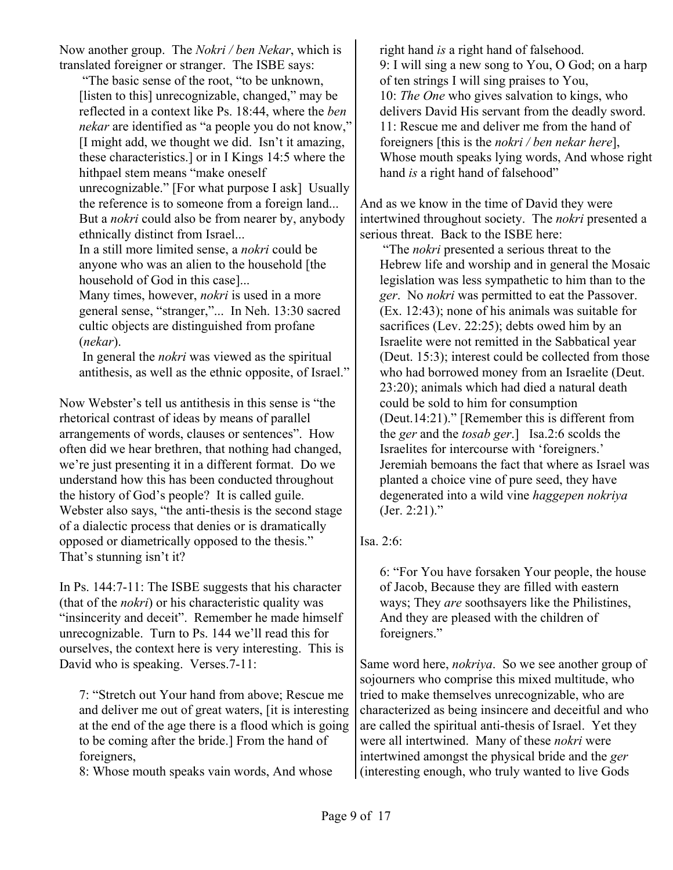Now another group. The *Nokri / ben Nekar*, which is translated foreigner or stranger. The ISBE says:

 "The basic sense of the root, "to be unknown, [listen to this] unrecognizable, changed," may be reflected in a context like Ps. 18:44, where the *ben nekar* are identified as "a people you do not know," [I might add, we thought we did. Isn't it amazing, these characteristics.] or in I Kings 14:5 where the hithpael stem means "make oneself unrecognizable." [For what purpose I ask] Usually the reference is to someone from a foreign land... But a *nokri* could also be from nearer by, anybody ethnically distinct from Israel...

In a still more limited sense, a *nokri* could be anyone who was an alien to the household [the household of God in this case]...

Many times, however, *nokri* is used in a more general sense, "stranger,"... In Neh. 13:30 sacred cultic objects are distinguished from profane (*nekar*).

 In general the *nokri* was viewed as the spiritual antithesis, as well as the ethnic opposite, of Israel."

Now Webster's tell us antithesis in this sense is "the rhetorical contrast of ideas by means of parallel arrangements of words, clauses or sentences". How often did we hear brethren, that nothing had changed, we're just presenting it in a different format. Do we understand how this has been conducted throughout the history of God's people? It is called guile. Webster also says, "the anti-thesis is the second stage of a dialectic process that denies or is dramatically opposed or diametrically opposed to the thesis." That's stunning isn't it?

In Ps. 144:7-11: The ISBE suggests that his character (that of the *nokri*) or his characteristic quality was "insincerity and deceit". Remember he made himself unrecognizable. Turn to Ps. 144 we'll read this for ourselves, the context here is very interesting. This is David who is speaking. Verses.7-11:

7: "Stretch out Your hand from above; Rescue me and deliver me out of great waters, [it is interesting at the end of the age there is a flood which is going to be coming after the bride.] From the hand of foreigners,

8: Whose mouth speaks vain words, And whose

right hand *is* a right hand of falsehood. 9: I will sing a new song to You, O God; on a harp of ten strings I will sing praises to You, 10: *The One* who gives salvation to kings, who delivers David His servant from the deadly sword. 11: Rescue me and deliver me from the hand of foreigners [this is the *nokri / ben nekar here*], Whose mouth speaks lying words, And whose right hand *is* a right hand of falsehood"

And as we know in the time of David they were intertwined throughout society. The *nokri* presented a serious threat. Back to the ISBE here:

 "The *nokri* presented a serious threat to the Hebrew life and worship and in general the Mosaic legislation was less sympathetic to him than to the *ger*. No *nokri* was permitted to eat the Passover. (Ex. 12:43); none of his animals was suitable for sacrifices (Lev. 22:25); debts owed him by an Israelite were not remitted in the Sabbatical year (Deut. 15:3); interest could be collected from those who had borrowed money from an Israelite (Deut. 23:20); animals which had died a natural death could be sold to him for consumption (Deut.14:21)." [Remember this is different from the *ger* and the *tosab ger*.] Isa.2:6 scolds the Israelites for intercourse with 'foreigners.' Jeremiah bemoans the fact that where as Israel was planted a choice vine of pure seed, they have degenerated into a wild vine *haggepen nokriya* (Jer. 2:21)."

## Isa. 2:6:

6: "For You have forsaken Your people, the house of Jacob, Because they are filled with eastern ways; They *are* soothsayers like the Philistines, And they are pleased with the children of foreigners."

Same word here, *nokriya*. So we see another group of sojourners who comprise this mixed multitude, who tried to make themselves unrecognizable, who are characterized as being insincere and deceitful and who are called the spiritual anti-thesis of Israel. Yet they were all intertwined. Many of these *nokri* were intertwined amongst the physical bride and the *ger* (interesting enough, who truly wanted to live Gods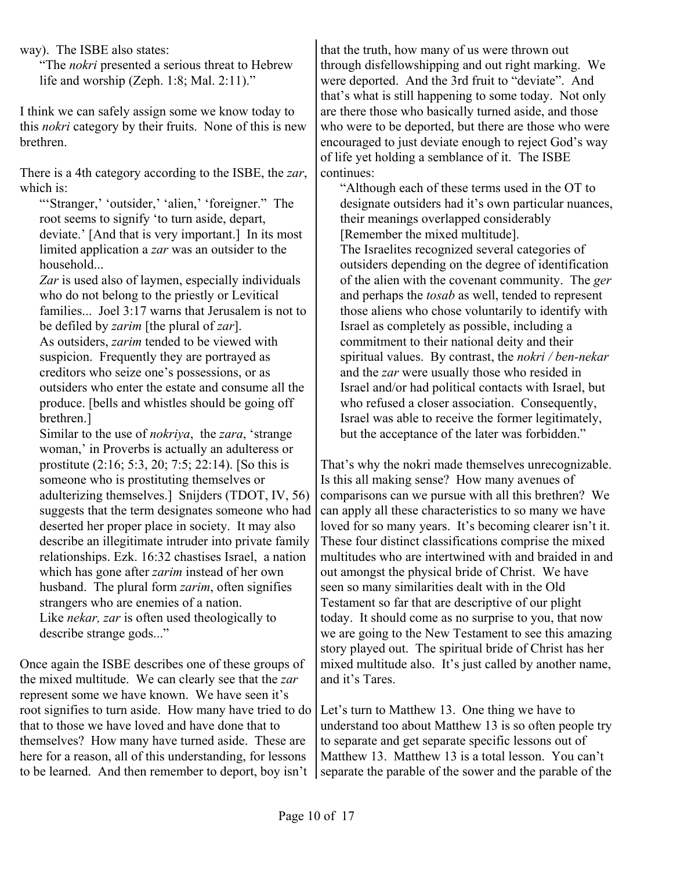way). The ISBE also states:

"The *nokri* presented a serious threat to Hebrew life and worship (Zeph. 1:8; Mal. 2:11)."

I think we can safely assign some we know today to this *nokri* category by their fruits. None of this is new brethren.

There is a 4th category according to the ISBE, the *zar*, which is:

"'Stranger,' 'outsider,' 'alien,' 'foreigner." The root seems to signify 'to turn aside, depart, deviate.' [And that is very important.] In its most limited application a *zar* was an outsider to the household...

*Zar* is used also of laymen, especially individuals who do not belong to the priestly or Levitical families... Joel 3:17 warns that Jerusalem is not to be defiled by *zarim* [the plural of *zar*]. As outsiders, *zarim* tended to be viewed with suspicion. Frequently they are portrayed as creditors who seize one's possessions, or as outsiders who enter the estate and consume all the produce. [bells and whistles should be going off brethren.]

Similar to the use of *nokriya*, the *zara*, 'strange woman,' in Proverbs is actually an adulteress or prostitute (2:16; 5:3, 20; 7:5; 22:14). [So this is someone who is prostituting themselves or adulterizing themselves.] Snijders (TDOT, IV, 56) suggests that the term designates someone who had deserted her proper place in society. It may also describe an illegitimate intruder into private family relationships. Ezk. 16:32 chastises Israel, a nation which has gone after *zarim* instead of her own husband. The plural form *zarim*, often signifies strangers who are enemies of a nation. Like *nekar, zar* is often used theologically to describe strange gods..."

Once again the ISBE describes one of these groups of the mixed multitude. We can clearly see that the *zar* represent some we have known. We have seen it's root signifies to turn aside. How many have tried to do that to those we have loved and have done that to themselves? How many have turned aside. These are here for a reason, all of this understanding, for lessons to be learned. And then remember to deport, boy isn't

that the truth, how many of us were thrown out through disfellowshipping and out right marking. We were deported. And the 3rd fruit to "deviate". And that's what is still happening to some today. Not only are there those who basically turned aside, and those who were to be deported, but there are those who were encouraged to just deviate enough to reject God's way of life yet holding a semblance of it. The ISBE continues:

"Although each of these terms used in the OT to designate outsiders had it's own particular nuances, their meanings overlapped considerably [Remember the mixed multitude]. The Israelites recognized several categories of outsiders depending on the degree of identification of the alien with the covenant community. The *ger* and perhaps the *tosab* as well, tended to represent those aliens who chose voluntarily to identify with Israel as completely as possible, including a commitment to their national deity and their spiritual values. By contrast, the *nokri / ben-nekar* and the *zar* were usually those who resided in Israel and/or had political contacts with Israel, but who refused a closer association. Consequently, Israel was able to receive the former legitimately, but the acceptance of the later was forbidden."

That's why the nokri made themselves unrecognizable. Is this all making sense? How many avenues of comparisons can we pursue with all this brethren? We can apply all these characteristics to so many we have loved for so many years. It's becoming clearer isn't it. These four distinct classifications comprise the mixed multitudes who are intertwined with and braided in and out amongst the physical bride of Christ. We have seen so many similarities dealt with in the Old Testament so far that are descriptive of our plight today. It should come as no surprise to you, that now we are going to the New Testament to see this amazing story played out. The spiritual bride of Christ has her mixed multitude also. It's just called by another name, and it's Tares.

Let's turn to Matthew 13. One thing we have to understand too about Matthew 13 is so often people try to separate and get separate specific lessons out of Matthew 13. Matthew 13 is a total lesson. You can't separate the parable of the sower and the parable of the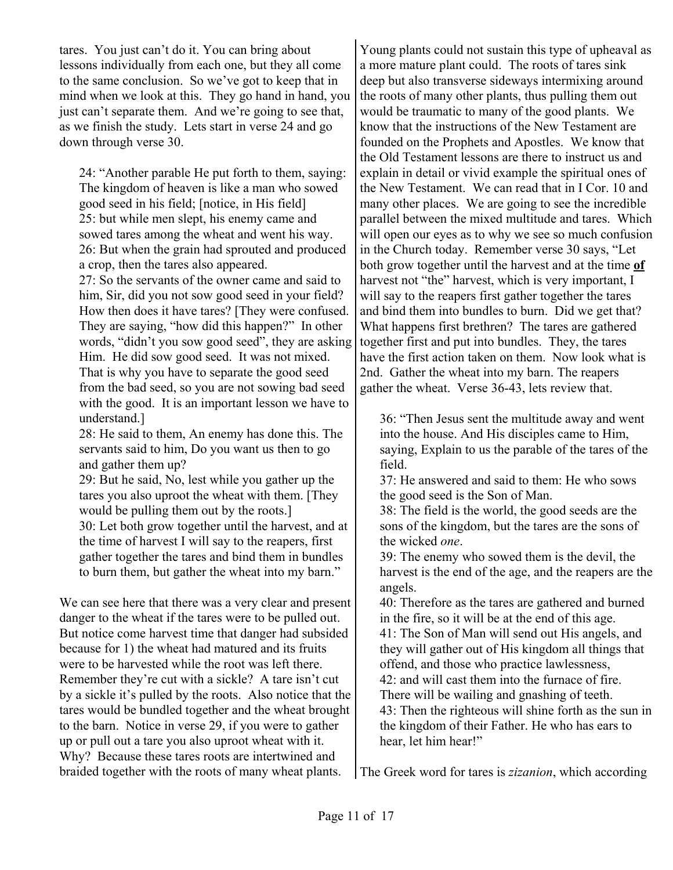tares. You just can't do it. You can bring about lessons individually from each one, but they all come to the same conclusion. So we've got to keep that in mind when we look at this. They go hand in hand, you just can't separate them. And we're going to see that, as we finish the study. Lets start in verse 24 and go down through verse 30.

24: "Another parable He put forth to them, saying: The kingdom of heaven is like a man who sowed good seed in his field; [notice, in His field] 25: but while men slept, his enemy came and sowed tares among the wheat and went his way. 26: But when the grain had sprouted and produced a crop, then the tares also appeared.

27: So the servants of the owner came and said to him, Sir, did you not sow good seed in your field? How then does it have tares? [They were confused. They are saying, "how did this happen?" In other words, "didn't you sow good seed", they are asking Him. He did sow good seed. It was not mixed. That is why you have to separate the good seed from the bad seed, so you are not sowing bad seed with the good. It is an important lesson we have to understand.]

28: He said to them, An enemy has done this. The servants said to him, Do you want us then to go and gather them up?

29: But he said, No, lest while you gather up the tares you also uproot the wheat with them. [They would be pulling them out by the roots.] 30: Let both grow together until the harvest, and at

the time of harvest I will say to the reapers, first gather together the tares and bind them in bundles to burn them, but gather the wheat into my barn."

We can see here that there was a very clear and present danger to the wheat if the tares were to be pulled out. But notice come harvest time that danger had subsided because for 1) the wheat had matured and its fruits were to be harvested while the root was left there. Remember they're cut with a sickle? A tare isn't cut by a sickle it's pulled by the roots. Also notice that the tares would be bundled together and the wheat brought to the barn. Notice in verse 29, if you were to gather up or pull out a tare you also uproot wheat with it. Why? Because these tares roots are intertwined and braided together with the roots of many wheat plants.

Young plants could not sustain this type of upheaval as a more mature plant could. The roots of tares sink deep but also transverse sideways intermixing around the roots of many other plants, thus pulling them out would be traumatic to many of the good plants. We know that the instructions of the New Testament are founded on the Prophets and Apostles. We know that the Old Testament lessons are there to instruct us and explain in detail or vivid example the spiritual ones of the New Testament. We can read that in I Cor. 10 and many other places. We are going to see the incredible parallel between the mixed multitude and tares. Which will open our eyes as to why we see so much confusion in the Church today. Remember verse 30 says, "Let both grow together until the harvest and at the time **of** harvest not "the" harvest, which is very important, I will say to the reapers first gather together the tares and bind them into bundles to burn. Did we get that? What happens first brethren? The tares are gathered together first and put into bundles. They, the tares have the first action taken on them. Now look what is 2nd. Gather the wheat into my barn. The reapers gather the wheat. Verse 36-43, lets review that.

36: "Then Jesus sent the multitude away and went into the house. And His disciples came to Him, saying, Explain to us the parable of the tares of the field.

37: He answered and said to them: He who sows the good seed is the Son of Man.

38: The field is the world, the good seeds are the sons of the kingdom, but the tares are the sons of the wicked *one*.

39: The enemy who sowed them is the devil, the harvest is the end of the age, and the reapers are the angels.

40: Therefore as the tares are gathered and burned in the fire, so it will be at the end of this age.

41: The Son of Man will send out His angels, and they will gather out of His kingdom all things that offend, and those who practice lawlessness,

42: and will cast them into the furnace of fire.

There will be wailing and gnashing of teeth. 43: Then the righteous will shine forth as the sun in

the kingdom of their Father. He who has ears to hear, let him hear!"

The Greek word for tares is *zizanion*, which according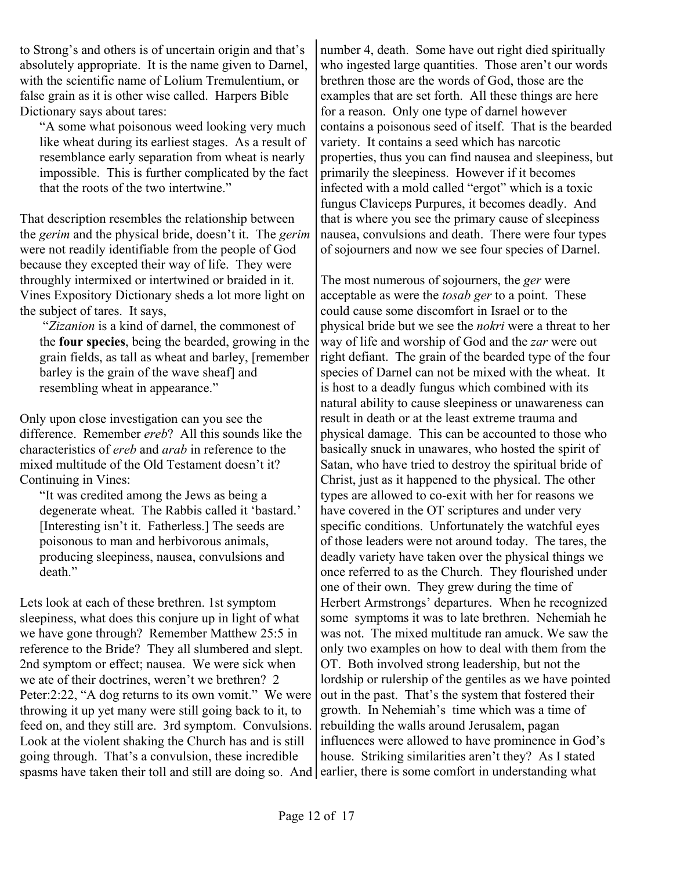to Strong's and others is of uncertain origin and that's absolutely appropriate. It is the name given to Darnel, with the scientific name of Lolium Tremulentium, or false grain as it is other wise called. Harpers Bible Dictionary says about tares:

"A some what poisonous weed looking very much like wheat during its earliest stages. As a result of resemblance early separation from wheat is nearly impossible. This is further complicated by the fact that the roots of the two intertwine."

That description resembles the relationship between the *gerim* and the physical bride, doesn't it. The *gerim* were not readily identifiable from the people of God because they excepted their way of life. They were throughly intermixed or intertwined or braided in it. Vines Expository Dictionary sheds a lot more light on the subject of tares. It says,

 "*Zizanion* is a kind of darnel, the commonest of the **four species**, being the bearded, growing in the grain fields, as tall as wheat and barley, [remember barley is the grain of the wave sheaf] and resembling wheat in appearance."

Only upon close investigation can you see the difference. Remember *ereb*? All this sounds like the characteristics of *ereb* and *arab* in reference to the mixed multitude of the Old Testament doesn't it? Continuing in Vines:

"It was credited among the Jews as being a degenerate wheat. The Rabbis called it 'bastard.' [Interesting isn't it. Fatherless.] The seeds are poisonous to man and herbivorous animals, producing sleepiness, nausea, convulsions and death."

Lets look at each of these brethren. 1st symptom sleepiness, what does this conjure up in light of what we have gone through? Remember Matthew 25:5 in reference to the Bride? They all slumbered and slept. 2nd symptom or effect; nausea. We were sick when we ate of their doctrines, weren't we brethren? 2 Peter:2:22, "A dog returns to its own vomit." We were throwing it up yet many were still going back to it, to feed on, and they still are. 3rd symptom. Convulsions. Look at the violent shaking the Church has and is still going through. That's a convulsion, these incredible spasms have taken their toll and still are doing so. And earlier, there is some comfort in understanding what

number 4, death. Some have out right died spiritually who ingested large quantities. Those aren't our words brethren those are the words of God, those are the examples that are set forth. All these things are here for a reason. Only one type of darnel however contains a poisonous seed of itself. That is the bearded variety. It contains a seed which has narcotic properties, thus you can find nausea and sleepiness, but primarily the sleepiness. However if it becomes infected with a mold called "ergot" which is a toxic fungus Claviceps Purpures, it becomes deadly. And that is where you see the primary cause of sleepiness nausea, convulsions and death. There were four types of sojourners and now we see four species of Darnel.

The most numerous of sojourners, the *ger* were acceptable as were the *tosab ger* to a point. These could cause some discomfort in Israel or to the physical bride but we see the *nokri* were a threat to her way of life and worship of God and the *zar* were out right defiant. The grain of the bearded type of the four species of Darnel can not be mixed with the wheat. It is host to a deadly fungus which combined with its natural ability to cause sleepiness or unawareness can result in death or at the least extreme trauma and physical damage. This can be accounted to those who basically snuck in unawares, who hosted the spirit of Satan, who have tried to destroy the spiritual bride of Christ, just as it happened to the physical. The other types are allowed to co-exit with her for reasons we have covered in the OT scriptures and under very specific conditions. Unfortunately the watchful eyes of those leaders were not around today. The tares, the deadly variety have taken over the physical things we once referred to as the Church. They flourished under one of their own. They grew during the time of Herbert Armstrongs' departures. When he recognized some symptoms it was to late brethren. Nehemiah he was not. The mixed multitude ran amuck. We saw the only two examples on how to deal with them from the OT. Both involved strong leadership, but not the lordship or rulership of the gentiles as we have pointed out in the past. That's the system that fostered their growth. In Nehemiah's time which was a time of rebuilding the walls around Jerusalem, pagan influences were allowed to have prominence in God's house. Striking similarities aren't they? As I stated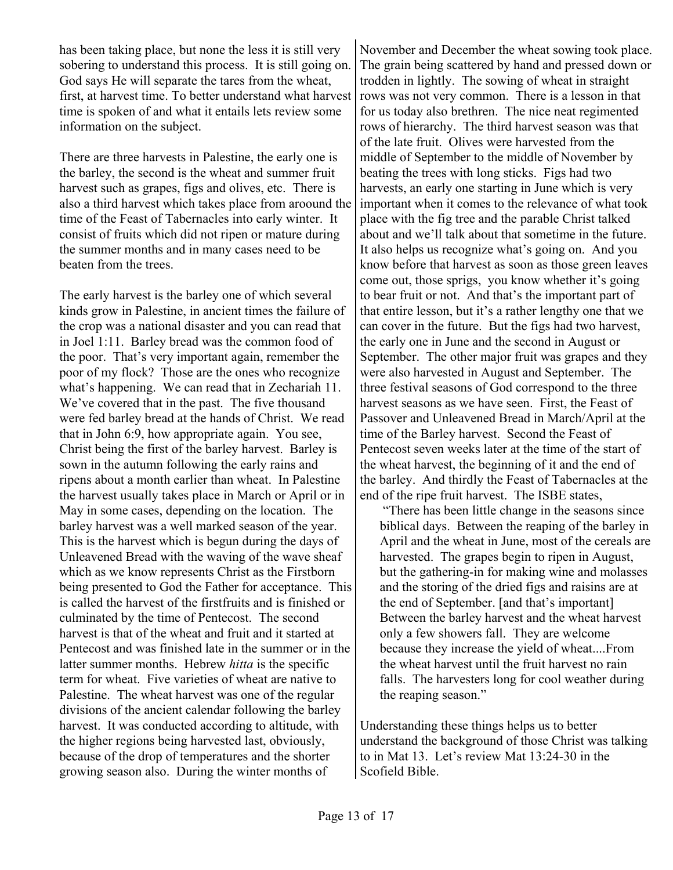has been taking place, but none the less it is still very sobering to understand this process. It is still going on. God says He will separate the tares from the wheat, first, at harvest time. To better understand what harvest time is spoken of and what it entails lets review some information on the subject.

There are three harvests in Palestine, the early one is the barley, the second is the wheat and summer fruit harvest such as grapes, figs and olives, etc. There is also a third harvest which takes place from aroound the time of the Feast of Tabernacles into early winter. It consist of fruits which did not ripen or mature during the summer months and in many cases need to be beaten from the trees.

The early harvest is the barley one of which several kinds grow in Palestine, in ancient times the failure of the crop was a national disaster and you can read that in Joel 1:11. Barley bread was the common food of the poor. That's very important again, remember the poor of my flock? Those are the ones who recognize what's happening. We can read that in Zechariah 11. We've covered that in the past. The five thousand were fed barley bread at the hands of Christ. We read that in John 6:9, how appropriate again. You see, Christ being the first of the barley harvest. Barley is sown in the autumn following the early rains and ripens about a month earlier than wheat. In Palestine the harvest usually takes place in March or April or in May in some cases, depending on the location. The barley harvest was a well marked season of the year. This is the harvest which is begun during the days of Unleavened Bread with the waving of the wave sheaf which as we know represents Christ as the Firstborn being presented to God the Father for acceptance. This is called the harvest of the firstfruits and is finished or culminated by the time of Pentecost. The second harvest is that of the wheat and fruit and it started at Pentecost and was finished late in the summer or in the latter summer months. Hebrew *hitta* is the specific term for wheat. Five varieties of wheat are native to Palestine. The wheat harvest was one of the regular divisions of the ancient calendar following the barley harvest. It was conducted according to altitude, with the higher regions being harvested last, obviously, because of the drop of temperatures and the shorter growing season also. During the winter months of

November and December the wheat sowing took place. The grain being scattered by hand and pressed down or trodden in lightly. The sowing of wheat in straight rows was not very common. There is a lesson in that for us today also brethren. The nice neat regimented rows of hierarchy. The third harvest season was that of the late fruit. Olives were harvested from the middle of September to the middle of November by beating the trees with long sticks. Figs had two harvests, an early one starting in June which is very important when it comes to the relevance of what took place with the fig tree and the parable Christ talked about and we'll talk about that sometime in the future. It also helps us recognize what's going on. And you know before that harvest as soon as those green leaves come out, those sprigs, you know whether it's going to bear fruit or not. And that's the important part of that entire lesson, but it's a rather lengthy one that we can cover in the future. But the figs had two harvest, the early one in June and the second in August or September. The other major fruit was grapes and they were also harvested in August and September. The three festival seasons of God correspond to the three harvest seasons as we have seen. First, the Feast of Passover and Unleavened Bread in March/April at the time of the Barley harvest. Second the Feast of Pentecost seven weeks later at the time of the start of the wheat harvest, the beginning of it and the end of the barley. And thirdly the Feast of Tabernacles at the end of the ripe fruit harvest. The ISBE states,

 "There has been little change in the seasons since biblical days. Between the reaping of the barley in April and the wheat in June, most of the cereals are harvested. The grapes begin to ripen in August, but the gathering-in for making wine and molasses and the storing of the dried figs and raisins are at the end of September. [and that's important] Between the barley harvest and the wheat harvest only a few showers fall. They are welcome because they increase the yield of wheat....From the wheat harvest until the fruit harvest no rain falls. The harvesters long for cool weather during the reaping season."

Understanding these things helps us to better understand the background of those Christ was talking to in Mat 13. Let's review Mat 13:24-30 in the Scofield Bible.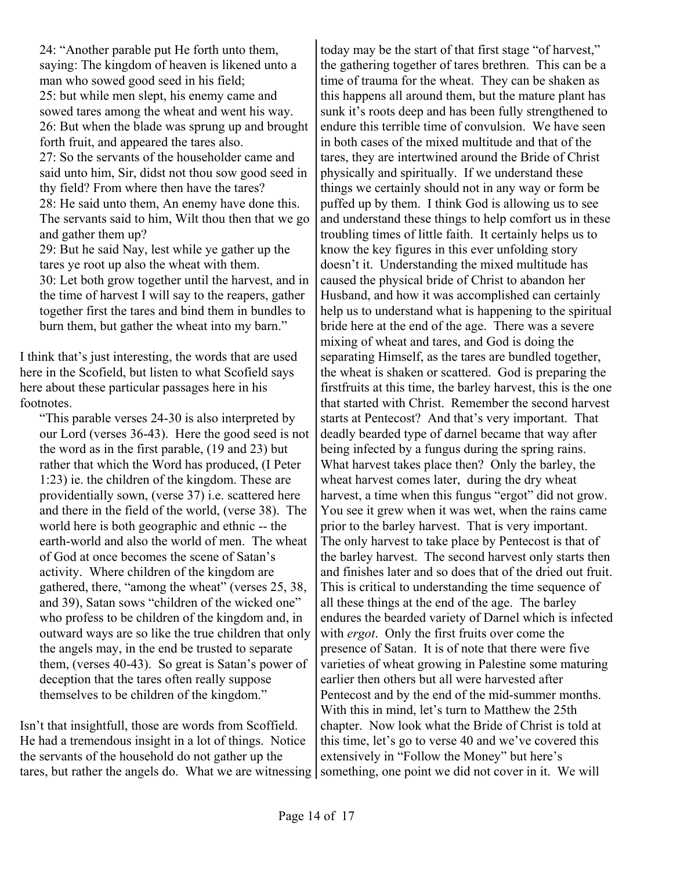24: "Another parable put He forth unto them, saying: The kingdom of heaven is likened unto a man who sowed good seed in his field; 25: but while men slept, his enemy came and sowed tares among the wheat and went his way. 26: But when the blade was sprung up and brought forth fruit, and appeared the tares also. 27: So the servants of the householder came and said unto him, Sir, didst not thou sow good seed in thy field? From where then have the tares? 28: He said unto them, An enemy have done this. The servants said to him, Wilt thou then that we go and gather them up? 29: But he said Nay, lest while ye gather up the tares ye root up also the wheat with them.

30: Let both grow together until the harvest, and in the time of harvest I will say to the reapers, gather together first the tares and bind them in bundles to burn them, but gather the wheat into my barn."

I think that's just interesting, the words that are used here in the Scofield, but listen to what Scofield says here about these particular passages here in his footnotes.

"This parable verses 24-30 is also interpreted by our Lord (verses 36-43). Here the good seed is not the word as in the first parable, (19 and 23) but rather that which the Word has produced, (I Peter 1:23) ie. the children of the kingdom. These are providentially sown, (verse 37) i.e. scattered here and there in the field of the world, (verse 38). The world here is both geographic and ethnic -- the earth-world and also the world of men. The wheat of God at once becomes the scene of Satan's activity. Where children of the kingdom are gathered, there, "among the wheat" (verses 25, 38, and 39), Satan sows "children of the wicked one" who profess to be children of the kingdom and, in outward ways are so like the true children that only the angels may, in the end be trusted to separate them, (verses 40-43). So great is Satan's power of deception that the tares often really suppose themselves to be children of the kingdom."

Isn't that insightfull, those are words from Scoffield. He had a tremendous insight in a lot of things. Notice the servants of the household do not gather up the tares, but rather the angels do. What we are witnessing

today may be the start of that first stage "of harvest," the gathering together of tares brethren. This can be a time of trauma for the wheat. They can be shaken as this happens all around them, but the mature plant has sunk it's roots deep and has been fully strengthened to endure this terrible time of convulsion. We have seen in both cases of the mixed multitude and that of the tares, they are intertwined around the Bride of Christ physically and spiritually. If we understand these things we certainly should not in any way or form be puffed up by them. I think God is allowing us to see and understand these things to help comfort us in these troubling times of little faith. It certainly helps us to know the key figures in this ever unfolding story doesn't it. Understanding the mixed multitude has caused the physical bride of Christ to abandon her Husband, and how it was accomplished can certainly help us to understand what is happening to the spiritual bride here at the end of the age. There was a severe mixing of wheat and tares, and God is doing the separating Himself, as the tares are bundled together, the wheat is shaken or scattered. God is preparing the firstfruits at this time, the barley harvest, this is the one that started with Christ. Remember the second harvest starts at Pentecost? And that's very important. That deadly bearded type of darnel became that way after being infected by a fungus during the spring rains. What harvest takes place then? Only the barley, the wheat harvest comes later, during the dry wheat harvest, a time when this fungus "ergot" did not grow. You see it grew when it was wet, when the rains came prior to the barley harvest. That is very important. The only harvest to take place by Pentecost is that of the barley harvest. The second harvest only starts then and finishes later and so does that of the dried out fruit. This is critical to understanding the time sequence of all these things at the end of the age. The barley endures the bearded variety of Darnel which is infected with *ergot*. Only the first fruits over come the presence of Satan. It is of note that there were five varieties of wheat growing in Palestine some maturing earlier then others but all were harvested after Pentecost and by the end of the mid-summer months. With this in mind, let's turn to Matthew the 25th chapter. Now look what the Bride of Christ is told at this time, let's go to verse 40 and we've covered this extensively in "Follow the Money" but here's something, one point we did not cover in it. We will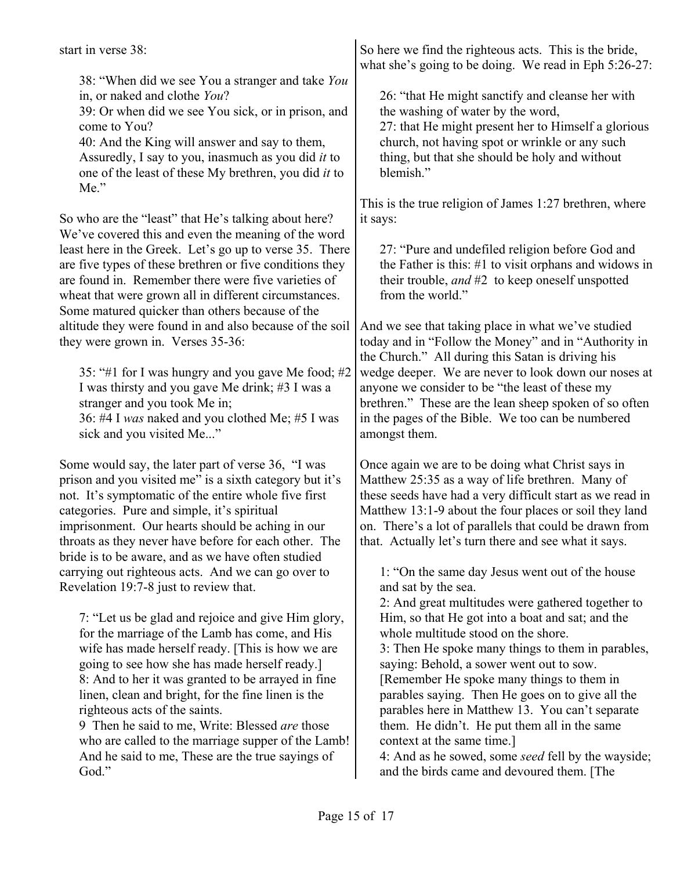start in verse 38:

38: "When did we see You a stranger and take *You* in, or naked and clothe *You*?

39: Or when did we see You sick, or in prison, and come to You?

40: And the King will answer and say to them, Assuredly, I say to you, inasmuch as you did *it* to one of the least of these My brethren, you did *it* to Me."

So who are the "least" that He's talking about here? We've covered this and even the meaning of the word least here in the Greek. Let's go up to verse 35. There are five types of these brethren or five conditions they are found in. Remember there were five varieties of wheat that were grown all in different circumstances. Some matured quicker than others because of the altitude they were found in and also because of the soil they were grown in. Verses 35-36:

35: "#1 for I was hungry and you gave Me food; #2 I was thirsty and you gave Me drink; #3 I was a stranger and you took Me in; 36: #4 I *was* naked and you clothed Me; #5 I was

sick and you visited Me..."

Some would say, the later part of verse 36, "I was prison and you visited me" is a sixth category but it's not. It's symptomatic of the entire whole five first categories. Pure and simple, it's spiritual imprisonment. Our hearts should be aching in our throats as they never have before for each other. The bride is to be aware, and as we have often studied carrying out righteous acts. And we can go over to Revelation 19:7-8 just to review that.

7: "Let us be glad and rejoice and give Him glory, for the marriage of the Lamb has come, and His wife has made herself ready. [This is how we are going to see how she has made herself ready.] 8: And to her it was granted to be arrayed in fine linen, clean and bright, for the fine linen is the righteous acts of the saints.

9 Then he said to me, Write: Blessed *are* those who are called to the marriage supper of the Lamb! And he said to me, These are the true sayings of God<sup>"</sup>

So here we find the righteous acts. This is the bride, what she's going to be doing. We read in Eph 5:26-27:

26: "that He might sanctify and cleanse her with the washing of water by the word, 27: that He might present her to Himself a glorious church, not having spot or wrinkle or any such thing, but that she should be holy and without

This is the true religion of James 1:27 brethren, where it says:

blemish."

27: "Pure and undefiled religion before God and the Father is this: #1 to visit orphans and widows in their trouble, *and* #2 to keep oneself unspotted from the world."

And we see that taking place in what we've studied today and in "Follow the Money" and in "Authority in the Church." All during this Satan is driving his wedge deeper. We are never to look down our noses at anyone we consider to be "the least of these my brethren." These are the lean sheep spoken of so often in the pages of the Bible. We too can be numbered amongst them.

Once again we are to be doing what Christ says in Matthew 25:35 as a way of life brethren. Many of these seeds have had a very difficult start as we read in Matthew 13:1-9 about the four places or soil they land on. There's a lot of parallels that could be drawn from that. Actually let's turn there and see what it says.

1: "On the same day Jesus went out of the house and sat by the sea.

2: And great multitudes were gathered together to Him, so that He got into a boat and sat; and the whole multitude stood on the shore.

3: Then He spoke many things to them in parables, saying: Behold, a sower went out to sow. [Remember He spoke many things to them in

parables saying. Then He goes on to give all the parables here in Matthew 13. You can't separate them. He didn't. He put them all in the same context at the same time.]

4: And as he sowed, some *seed* fell by the wayside; and the birds came and devoured them. [The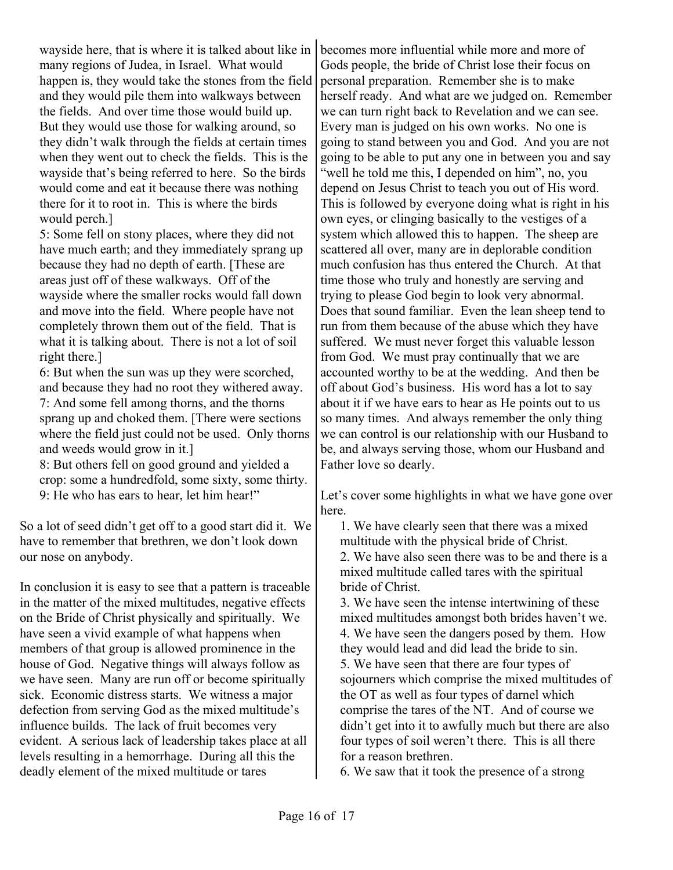wayside here, that is where it is talked about like in many regions of Judea, in Israel. What would happen is, they would take the stones from the field and they would pile them into walkways between the fields. And over time those would build up. But they would use those for walking around, so they didn't walk through the fields at certain times when they went out to check the fields. This is the wayside that's being referred to here. So the birds would come and eat it because there was nothing there for it to root in. This is where the birds would perch.]

5: Some fell on stony places, where they did not have much earth; and they immediately sprang up because they had no depth of earth. [These are areas just off of these walkways. Off of the wayside where the smaller rocks would fall down and move into the field. Where people have not completely thrown them out of the field. That is what it is talking about. There is not a lot of soil right there.]

6: But when the sun was up they were scorched, and because they had no root they withered away. 7: And some fell among thorns, and the thorns sprang up and choked them. [There were sections where the field just could not be used. Only thorns and weeds would grow in it.]

8: But others fell on good ground and yielded a crop: some a hundredfold, some sixty, some thirty. 9: He who has ears to hear, let him hear!"

So a lot of seed didn't get off to a good start did it. We have to remember that brethren, we don't look down our nose on anybody.

In conclusion it is easy to see that a pattern is traceable in the matter of the mixed multitudes, negative effects on the Bride of Christ physically and spiritually. We have seen a vivid example of what happens when members of that group is allowed prominence in the house of God. Negative things will always follow as we have seen. Many are run off or become spiritually sick. Economic distress starts. We witness a major defection from serving God as the mixed multitude's influence builds. The lack of fruit becomes very evident. A serious lack of leadership takes place at all levels resulting in a hemorrhage. During all this the deadly element of the mixed multitude or tares

becomes more influential while more and more of Gods people, the bride of Christ lose their focus on personal preparation. Remember she is to make herself ready. And what are we judged on. Remember we can turn right back to Revelation and we can see. Every man is judged on his own works. No one is going to stand between you and God. And you are not going to be able to put any one in between you and say "well he told me this, I depended on him", no, you depend on Jesus Christ to teach you out of His word. This is followed by everyone doing what is right in his own eyes, or clinging basically to the vestiges of a system which allowed this to happen. The sheep are scattered all over, many are in deplorable condition much confusion has thus entered the Church. At that time those who truly and honestly are serving and trying to please God begin to look very abnormal. Does that sound familiar. Even the lean sheep tend to run from them because of the abuse which they have suffered. We must never forget this valuable lesson from God. We must pray continually that we are accounted worthy to be at the wedding. And then be off about God's business. His word has a lot to say about it if we have ears to hear as He points out to us so many times. And always remember the only thing we can control is our relationship with our Husband to be, and always serving those, whom our Husband and Father love so dearly.

Let's cover some highlights in what we have gone over here.

1. We have clearly seen that there was a mixed multitude with the physical bride of Christ. 2. We have also seen there was to be and there is a mixed multitude called tares with the spiritual bride of Christ.

3. We have seen the intense intertwining of these mixed multitudes amongst both brides haven't we. 4. We have seen the dangers posed by them. How they would lead and did lead the bride to sin. 5. We have seen that there are four types of sojourners which comprise the mixed multitudes of the OT as well as four types of darnel which comprise the tares of the NT. And of course we didn't get into it to awfully much but there are also four types of soil weren't there. This is all there for a reason brethren.

6. We saw that it took the presence of a strong